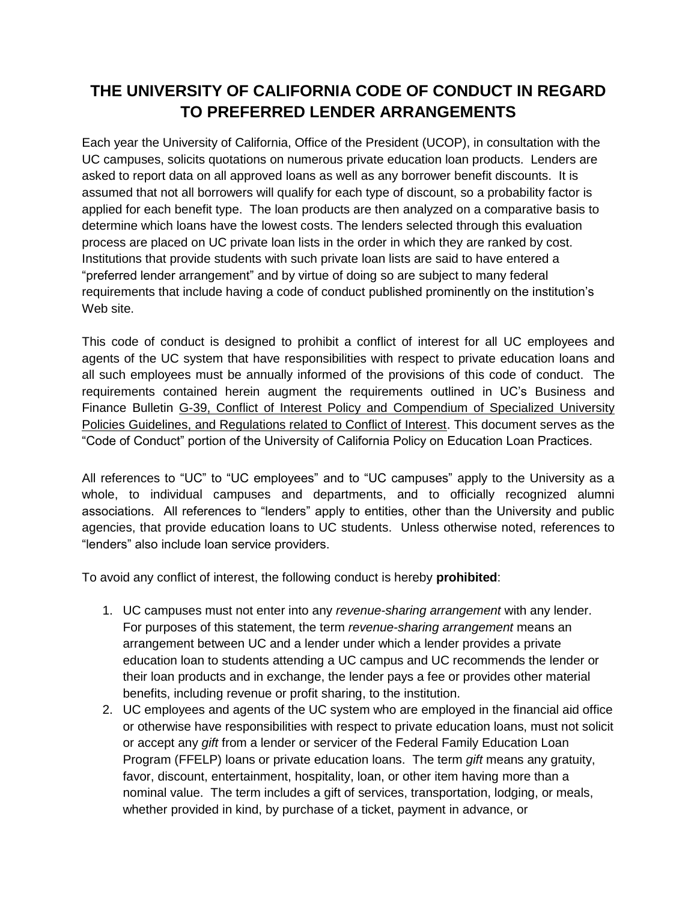## **THE UNIVERSITY OF CALIFORNIA CODE OF CONDUCT IN REGARD TO PREFERRED LENDER ARRANGEMENTS**

Each year the University of California, Office of the President (UCOP), in consultation with the UC campuses, solicits quotations on numerous private education loan products. Lenders are asked to report data on all approved loans as well as any borrower benefit discounts. It is assumed that not all borrowers will qualify for each type of discount, so a probability factor is applied for each benefit type. The loan products are then analyzed on a comparative basis to determine which loans have the lowest costs. The lenders selected through this evaluation process are placed on UC private loan lists in the order in which they are ranked by cost. Institutions that provide students with such private loan lists are said to have entered a "preferred lender arrangement" and by virtue of doing so are subject to many federal requirements that include having a code of conduct published prominently on the institution's Web site.

This code of conduct is designed to prohibit a conflict of interest for all UC employees and agents of the UC system that have responsibilities with respect to private education loans and all such employees must be annually informed of the provisions of this code of conduct. The requirements contained herein augment the requirements outlined in UC's Business and Finance Bulletin G-39, Conflict of Interest Policy and Compendium of Specialized University Policies Guidelines, and Regulations related to Conflict of Interest. This document serves as the "Code of Conduct" portion of the University of California Policy on Education Loan Practices.

All references to "UC" to "UC employees" and to "UC campuses" apply to the University as a whole, to individual campuses and departments, and to officially recognized alumni associations. All references to "lenders" apply to entities, other than the University and public agencies, that provide education loans to UC students. Unless otherwise noted, references to "lenders" also include loan service providers.

To avoid any conflict of interest, the following conduct is hereby **prohibited**:

- 1. UC campuses must not enter into any *revenue-sharing arrangement* with any lender. For purposes of this statement, the term *revenue-sharing arrangement* means an arrangement between UC and a lender under which a lender provides a private education loan to students attending a UC campus and UC recommends the lender or their loan products and in exchange, the lender pays a fee or provides other material benefits, including revenue or profit sharing, to the institution.
- 2. UC employees and agents of the UC system who are employed in the financial aid office or otherwise have responsibilities with respect to private education loans, must not solicit or accept any *gift* from a lender or servicer of the Federal Family Education Loan Program (FFELP) loans or private education loans. The term *gift* means any gratuity, favor, discount, entertainment, hospitality, loan, or other item having more than a nominal value. The term includes a gift of services, transportation, lodging, or meals, whether provided in kind, by purchase of a ticket, payment in advance, or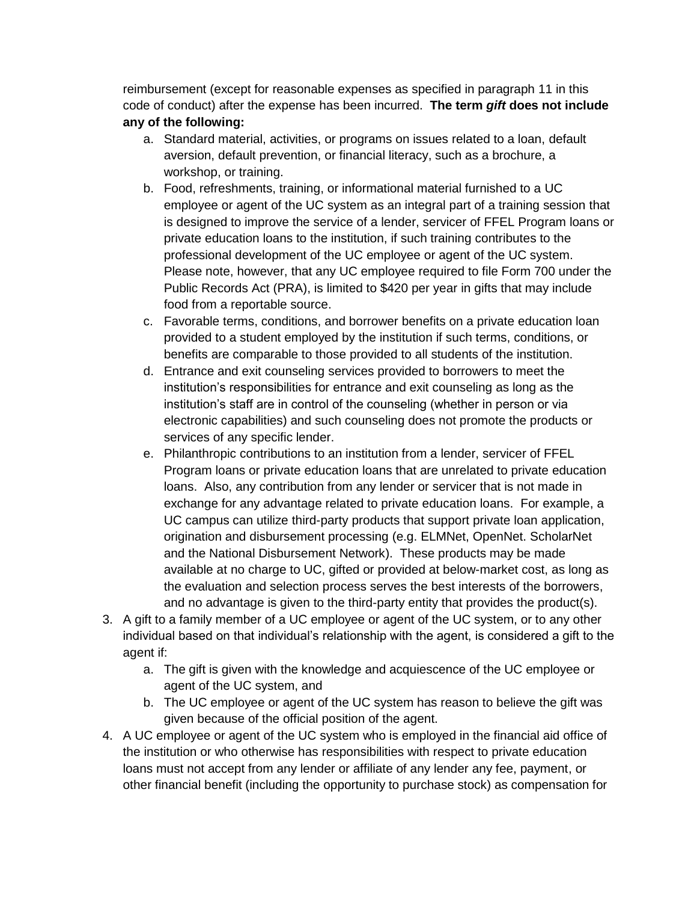reimbursement (except for reasonable expenses as specified in paragraph 11 in this code of conduct) after the expense has been incurred. **The term** *gift* **does not include any of the following:**

- a. Standard material, activities, or programs on issues related to a loan, default aversion, default prevention, or financial literacy, such as a brochure, a workshop, or training.
- b. Food, refreshments, training, or informational material furnished to a UC employee or agent of the UC system as an integral part of a training session that is designed to improve the service of a lender, servicer of FFEL Program loans or private education loans to the institution, if such training contributes to the professional development of the UC employee or agent of the UC system. Please note, however, that any UC employee required to file Form 700 under the Public Records Act (PRA), is limited to \$420 per year in gifts that may include food from a reportable source.
- c. Favorable terms, conditions, and borrower benefits on a private education loan provided to a student employed by the institution if such terms, conditions, or benefits are comparable to those provided to all students of the institution.
- d. Entrance and exit counseling services provided to borrowers to meet the institution's responsibilities for entrance and exit counseling as long as the institution's staff are in control of the counseling (whether in person or via electronic capabilities) and such counseling does not promote the products or services of any specific lender.
- e. Philanthropic contributions to an institution from a lender, servicer of FFEL Program loans or private education loans that are unrelated to private education loans. Also, any contribution from any lender or servicer that is not made in exchange for any advantage related to private education loans. For example, a UC campus can utilize third-party products that support private loan application, origination and disbursement processing (e.g. ELMNet, OpenNet. ScholarNet and the National Disbursement Network). These products may be made available at no charge to UC, gifted or provided at below-market cost, as long as the evaluation and selection process serves the best interests of the borrowers, and no advantage is given to the third-party entity that provides the product(s).
- 3. A gift to a family member of a UC employee or agent of the UC system, or to any other individual based on that individual's relationship with the agent, is considered a gift to the agent if:
	- a. The gift is given with the knowledge and acquiescence of the UC employee or agent of the UC system, and
	- b. The UC employee or agent of the UC system has reason to believe the gift was given because of the official position of the agent.
- 4. A UC employee or agent of the UC system who is employed in the financial aid office of the institution or who otherwise has responsibilities with respect to private education loans must not accept from any lender or affiliate of any lender any fee, payment, or other financial benefit (including the opportunity to purchase stock) as compensation for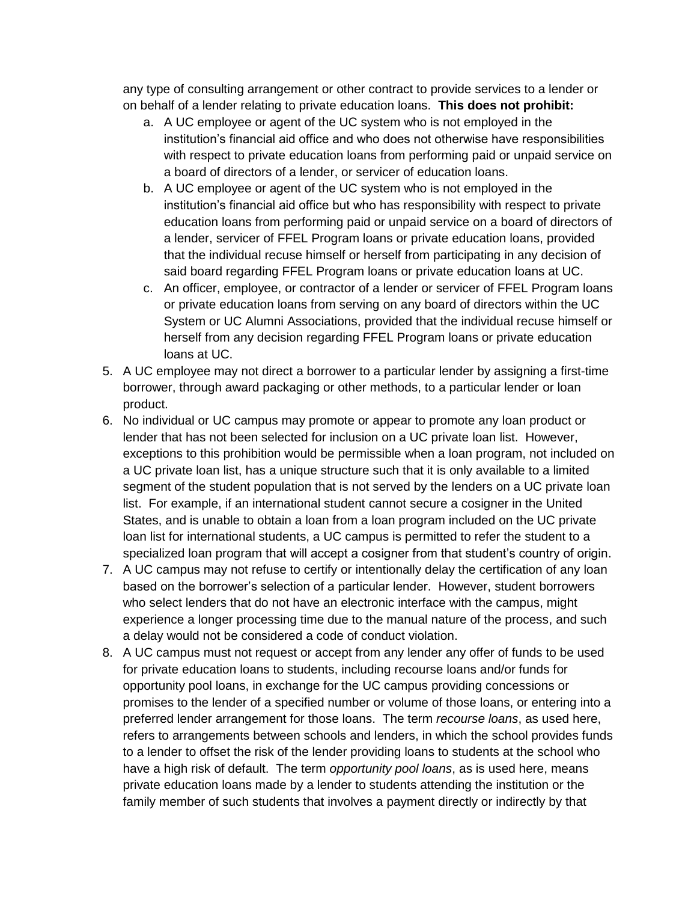any type of consulting arrangement or other contract to provide services to a lender or on behalf of a lender relating to private education loans. **This does not prohibit:**

- a. A UC employee or agent of the UC system who is not employed in the institution's financial aid office and who does not otherwise have responsibilities with respect to private education loans from performing paid or unpaid service on a board of directors of a lender, or servicer of education loans.
- b. A UC employee or agent of the UC system who is not employed in the institution's financial aid office but who has responsibility with respect to private education loans from performing paid or unpaid service on a board of directors of a lender, servicer of FFEL Program loans or private education loans, provided that the individual recuse himself or herself from participating in any decision of said board regarding FFEL Program loans or private education loans at UC.
- c. An officer, employee, or contractor of a lender or servicer of FFEL Program loans or private education loans from serving on any board of directors within the UC System or UC Alumni Associations, provided that the individual recuse himself or herself from any decision regarding FFEL Program loans or private education loans at UC.
- 5. A UC employee may not direct a borrower to a particular lender by assigning a first-time borrower, through award packaging or other methods, to a particular lender or loan product.
- 6. No individual or UC campus may promote or appear to promote any loan product or lender that has not been selected for inclusion on a UC private loan list. However, exceptions to this prohibition would be permissible when a loan program, not included on a UC private loan list, has a unique structure such that it is only available to a limited segment of the student population that is not served by the lenders on a UC private loan list. For example, if an international student cannot secure a cosigner in the United States, and is unable to obtain a loan from a loan program included on the UC private loan list for international students, a UC campus is permitted to refer the student to a specialized loan program that will accept a cosigner from that student's country of origin.
- 7. A UC campus may not refuse to certify or intentionally delay the certification of any loan based on the borrower's selection of a particular lender. However, student borrowers who select lenders that do not have an electronic interface with the campus, might experience a longer processing time due to the manual nature of the process, and such a delay would not be considered a code of conduct violation.
- 8. A UC campus must not request or accept from any lender any offer of funds to be used for private education loans to students, including recourse loans and/or funds for opportunity pool loans, in exchange for the UC campus providing concessions or promises to the lender of a specified number or volume of those loans, or entering into a preferred lender arrangement for those loans. The term *recourse loans*, as used here, refers to arrangements between schools and lenders, in which the school provides funds to a lender to offset the risk of the lender providing loans to students at the school who have a high risk of default. The term *opportunity pool loans*, as is used here, means private education loans made by a lender to students attending the institution or the family member of such students that involves a payment directly or indirectly by that